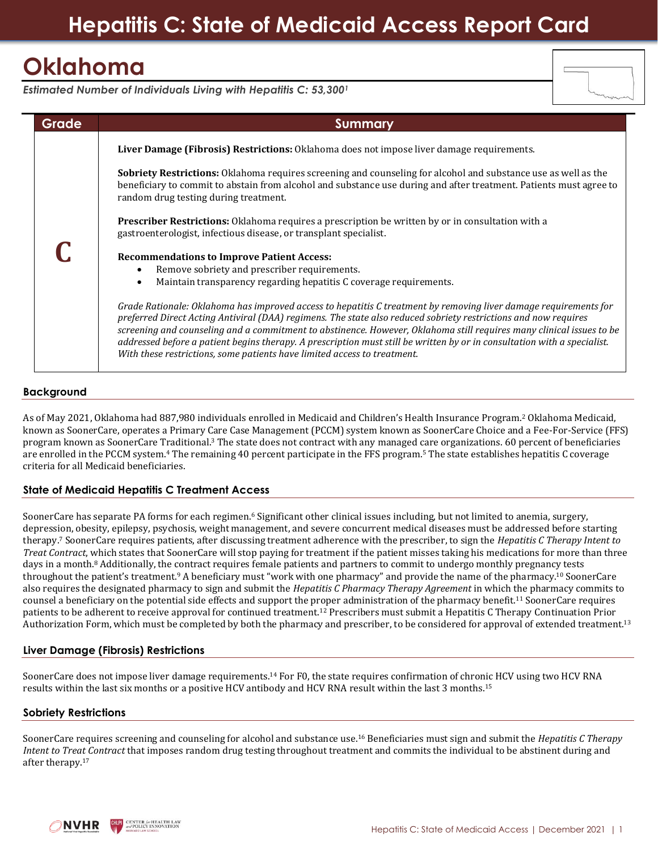# **Oklahoma**

*Estimated Number of Individuals Living with Hepatitis C: 53,300<sup>1</sup>*

| Grade | <b>Summary</b>                                                                                                                                                                                                                                                                                                                                                                                                                                                                                                                                                      |
|-------|---------------------------------------------------------------------------------------------------------------------------------------------------------------------------------------------------------------------------------------------------------------------------------------------------------------------------------------------------------------------------------------------------------------------------------------------------------------------------------------------------------------------------------------------------------------------|
|       | Liver Damage (Fibrosis) Restrictions: Oklahoma does not impose liver damage requirements.                                                                                                                                                                                                                                                                                                                                                                                                                                                                           |
|       | <b>Sobriety Restrictions:</b> Oklahoma requires screening and counseling for alcohol and substance use as well as the<br>beneficiary to commit to abstain from alcohol and substance use during and after treatment. Patients must agree to<br>random drug testing during treatment.                                                                                                                                                                                                                                                                                |
|       | <b>Prescriber Restrictions:</b> Oklahoma requires a prescription be written by or in consultation with a<br>gastroenterologist, infectious disease, or transplant specialist.                                                                                                                                                                                                                                                                                                                                                                                       |
|       | <b>Recommendations to Improve Patient Access:</b>                                                                                                                                                                                                                                                                                                                                                                                                                                                                                                                   |
|       | Remove sobriety and prescriber requirements.                                                                                                                                                                                                                                                                                                                                                                                                                                                                                                                        |
|       | Maintain transparency regarding hepatitis C coverage requirements.                                                                                                                                                                                                                                                                                                                                                                                                                                                                                                  |
|       | Grade Rationale: Oklahoma has improved access to hepatitis C treatment by removing liver damage requirements for<br>preferred Direct Acting Antiviral (DAA) regimens. The state also reduced sobriety restrictions and now requires<br>screening and counseling and a commitment to abstinence. However, Oklahoma still requires many clinical issues to be<br>addressed before a patient begins therapy. A prescription must still be written by or in consultation with a specialist.<br>With these restrictions, some patients have limited access to treatment. |

# **Background**

As of May 2021, Oklahoma had 887,980 individuals enrolled in Medicaid and Children's Health Insurance Program.<sup>2</sup> Oklahoma Medicaid, known as SoonerCare, operates a Primary Care Case Management (PCCM) system known as SoonerCare Choice and a Fee-For-Service (FFS) program known as SoonerCare Traditional.<sup>3</sup> The state does not contract with any managed care organizations. 60 percent of beneficiaries are enrolled in the PCCM system. <sup>4</sup> The remaining 40 percent participate in the FFS program.<sup>5</sup> The state establishes hepatitis C coverage criteria for all Medicaid beneficiaries.

# **State of Medicaid Hepatitis C Treatment Access**

SoonerCare has separate PA forms for each regimen.<sup>6</sup> Significant other clinical issues including, but not limited to anemia, surgery, depression, obesity, epilepsy, psychosis, weight management, and severe concurrent medical diseases must be addressed before starting therapy.<sup>7</sup> SoonerCare requires patients, after discussing treatment adherence with the prescriber, to sign the *Hepatitis C Therapy Intent to Treat Contract*, which states that SoonerCare will stop paying for treatment if the patient misses taking his medications for more than three days in a month.<sup>8</sup> Additionally, the contract requires female patients and partners to commit to undergo monthly pregnancy tests throughout the patient's treatment. <sup>9</sup> A beneficiary must "work with one pharmacy" and provide the name of the pharmacy.<sup>10</sup> SoonerCare also requires the designated pharmacy to sign and submit the *Hepatitis C Pharmacy Therapy Agreement* in which the pharmacy commits to counsel a beneficiary on the potential side effects and support the proper administration of the pharmacy benefit.<sup>11</sup> SoonerCare requires patients to be adherent to receive approval for continued treatment.<sup>12</sup> Prescribers must submit a Hepatitis C Therapy Continuation Prior Authorization Form, which must be completed by both the pharmacy and prescriber, to be considered for approval of extended treatment.<sup>13</sup>

# **Liver Damage (Fibrosis) Restrictions**

SoonerCare does not impose liver damage requirements.<sup>14</sup> For F0, the state requires confirmation of chronic HCV using two HCV RNA results within the last six months or a positive HCV antibody and HCV RNA result within the last 3 months.<sup>15</sup>

### **Sobriety Restrictions**

SoonerCare requires screening and counseling for alcohol and substance use. <sup>16</sup> Beneficiaries must sign and submit the *Hepatitis C Therapy Intent to Treat Contract* that imposes random drug testing throughout treatment and commits the individual to be abstinent during and after therapy.<sup>17</sup>